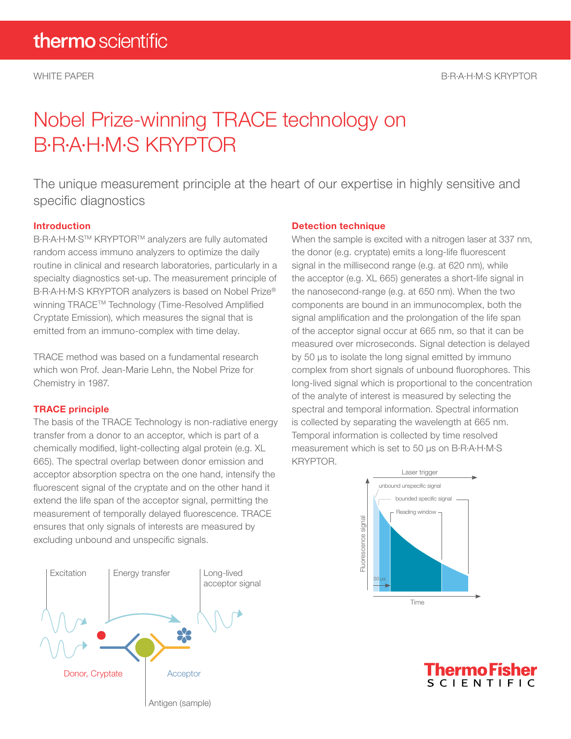# Nobel Prize-winning TRACE technology on B·R·A·H·M·S KRYPTOR

The unique measurement principle at the heart of our expertise in highly sensitive and specific diagnostics

# Introduction

B·R·A·H·M·S<sup>™</sup> KRYPTOR™ analyzers are fully automated random access immuno analyzers to optimize the daily routine in clinical and research laboratories, particularly in a specialty diagnostics set-up. The measurement principle of B·R·A·H·M·S KRYPTOR analyzers is based on Nobel Prize® winning TRACE<sup>™</sup> Technology (Time-Resolved Amplified Cryptate Emission), which measures the signal that is emitted from an immuno-complex with time delay.

TRACE method was based on a fundamental research which won Prof. Jean-Marie Lehn, the Nobel Prize for Chemistry in 1987.

# TRACE principle

The basis of the TRACE Technology is non-radiative energy transfer from a donor to an acceptor, which is part of a chemically modified, light-collecting algal protein (e.g. XL 665). The spectral overlap between donor emission and acceptor absorption spectra on the one hand, intensify the fluorescent signal of the cryptate and on the other hand it extend the life span of the acceptor signal, permitting the measurement of temporally delayed fluorescence. TRACE ensures that only signals of interests are measured by excluding unbound and unspecific signals.



### Detection technique

When the sample is excited with a nitrogen laser at 337 nm, the donor (e.g. cryptate) emits a long-life fluorescent signal in the millisecond range (e.g. at 620 nm), while the acceptor (e.g. XL 665) generates a short-life signal in the nanosecond-range (e.g. at 650 nm). When the two components are bound in an immunocomplex, both the signal amplification and the prolongation of the life span of the acceptor signal occur at 665 nm, so that it can be measured over microseconds. Signal detection is delayed by 50 μs to isolate the long signal emitted by immuno complex from short signals of unbound fluorophores. This long-lived signal which is proportional to the concentration of the analyte of interest is measured by selecting the spectral and temporal information. Spectral information is collected by separating the wavelength at 665 nm. Temporal information is collected by time resolved measurement which is set to 50 μs on B·R·A·H·M·S KRYPTOR.